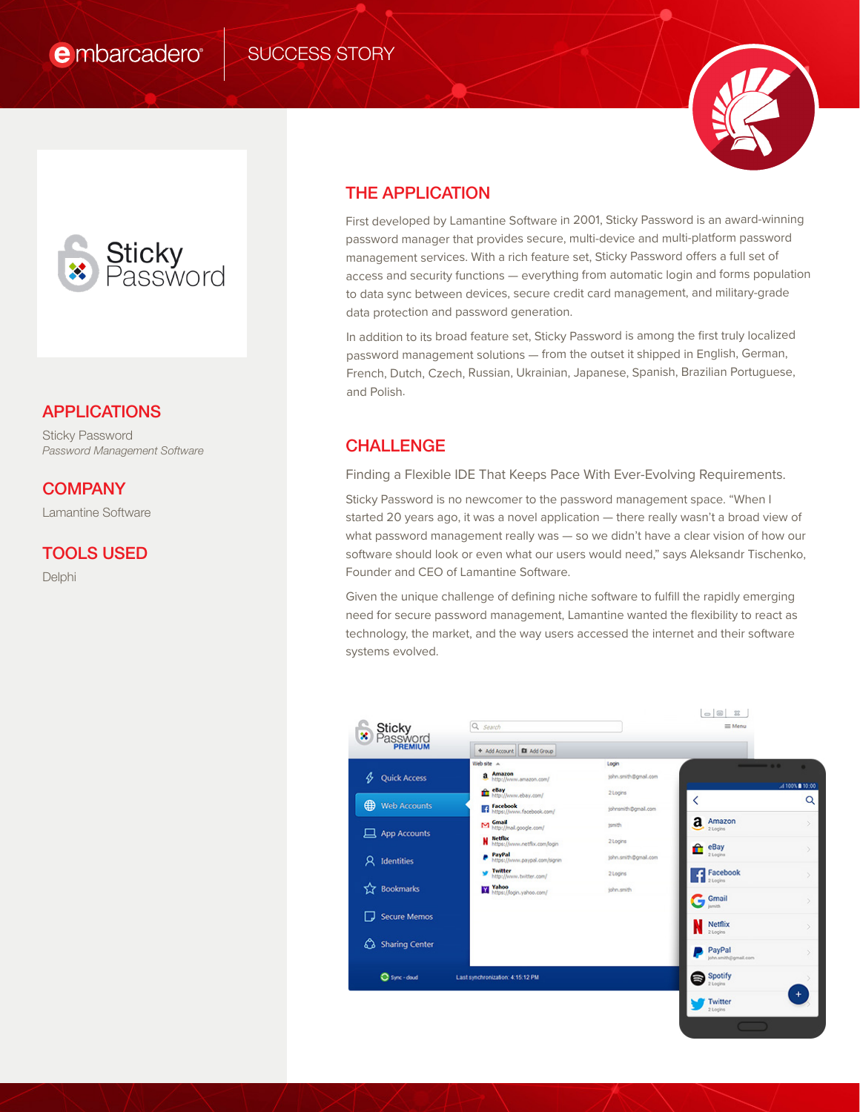

## APPLICATIONS

Sticky Password *Password Management Software*

## **COMPANY**

Lamantine Software

### TOOLS USED

Delphi

## THE APPLICATION

First developed by Lamantine Software in 2001, Sticky Password is an award-winning password manager that provides secure, multi-device and multi-platform password management services. With a rich feature set, Sticky Password offers a full set of access and security functions — everything from automatic login and forms population to data sync between devices, secure credit card management, and military-grade data protection and password generation.

In addition to its broad feature set, Sticky Password is among the first truly localized password management solutions — from the outset it shipped in English, German, French, Dutch, Czech, Russian, Ukrainian, Japanese, Spanish, Brazilian Portuguese, and Polish.

# CHALLENGE

Finding a Flexible IDE That Keeps Pace With Ever-Evolving Requirements.

Sticky Password is no newcomer to the password management space. "When I started 20 years ago, it was a novel application — there really wasn't a broad view of what password management really was — so we didn't have a clear vision of how our software should look or even what our users would need," says Aleksandr Tischenko, Founder and CEO of Lamantine Software.

Given the unique challenge of defining niche software to fulfill the rapidly emerging need for secure password management, Lamantine wanted the flexibility to react as technology, the market, and the way users accessed the internet and their software systems evolved.

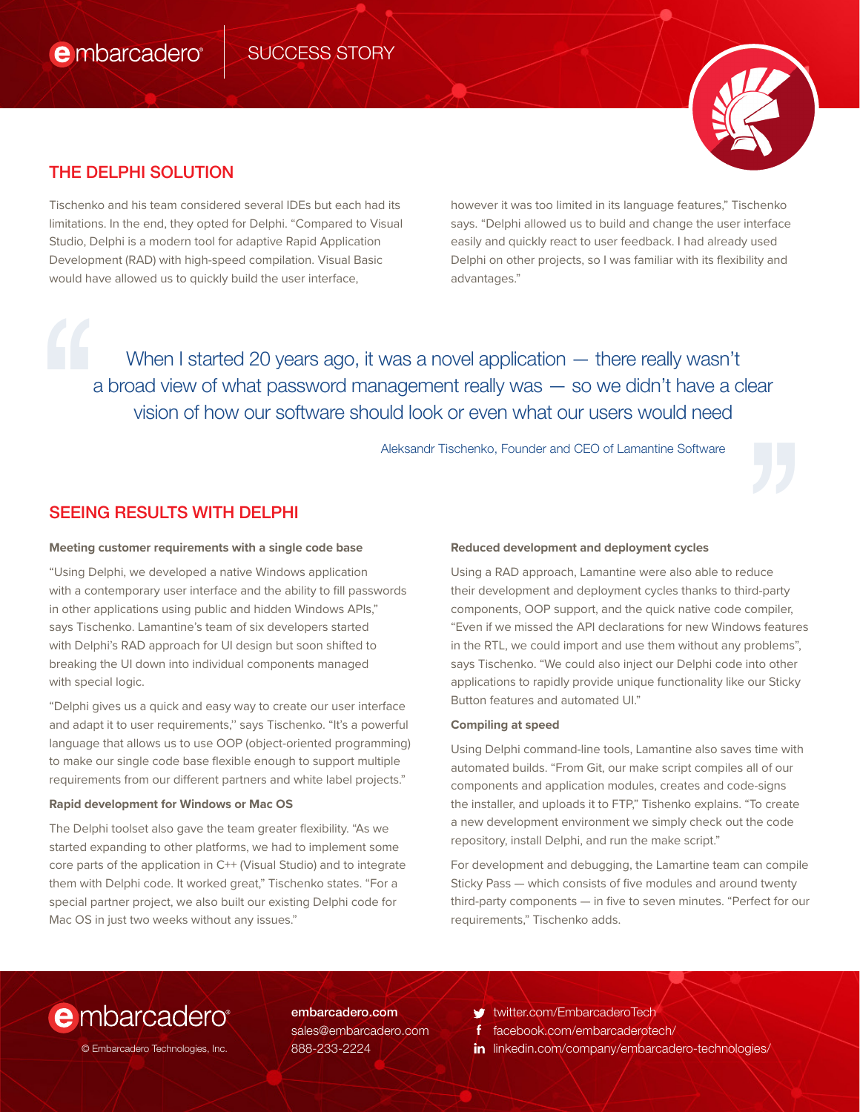

## THE DELPHI SOLUTION

Tischenko and his team considered several IDEs but each had its limitations. In the end, they opted for Delphi. "Compared to Visual Studio, Delphi is a modern tool for adaptive Rapid Application Development (RAD) with high-speed compilation. Visual Basic would have allowed us to quickly build the user interface,

however it was too limited in its language features," Tischenko says. "Delphi allowed us to build and change the user interface easily and quickly react to user feedback. I had already used Delphi on other projects, so I was familiar with its flexibility and advantages."

When I started 20 years ago, it was a novel application — there really wasn't a broad view of what password management really was — so we didn't have a clear vision of how our software should look or even what our users would need ''

## SEEING RESULTS WITH DELPHI

#### **Meeting customer requirements with a single code base**

"Using Delphi, we developed a native Windows application with a contemporary user interface and the ability to fill passwords in other applications using public and hidden Windows APIs," says Tischenko. Lamantine's team of six developers started with Delphi's RAD approach for UI design but soon shifted to breaking the UI down into individual components managed with special logic.

"Delphi gives us a quick and easy way to create our user interface and adapt it to user requirements,'' says Tischenko. "It's a powerful language that allows us to use OOP (object-oriented programming) to make our single code base flexible enough to support multiple requirements from our different partners and white label projects."

#### **Rapid development for Windows or Mac OS**

The Delphi toolset also gave the team greater flexibility. "As we started expanding to other platforms, we had to implement some core parts of the application in C++ (Visual Studio) and to integrate them with Delphi code. It worked great," Tischenko states. "For a special partner project, we also built our existing Delphi code for Mac OS in just two weeks without any issues."

#### **Reduced development and deployment cycles**

Aleksandr Tischenko, Founder and CEO of Lamantine Software<br> **Reduced development and deployment cycles**<br>
Using a RAD approach, Lamantine were also able to reduce<br>
their development and deployment cycles thanks to third-par Using a RAD approach, Lamantine were also able to reduce their development and deployment cycles thanks to third-party components, OOP support, and the quick native code compiler, "Even if we missed the API declarations for new Windows features in the RTL, we could import and use them without any problems", says Tischenko. "We could also inject our Delphi code into other applications to rapidly provide unique functionality like our Sticky Button features and automated UI."

#### **Compiling at speed**

Using Delphi command-line tools, Lamantine also saves time with automated builds. "From Git, our make script compiles all of our components and application modules, creates and code-signs the installer, and uploads it to FTP," Tishenko explains. "To create a new development environment we simply check out the code repository, install Delphi, and run the make script."

For development and debugging, the Lamartine team can compile Sticky Pass — which consists of five modules and around twenty third-party components — in five to seven minutes. "Perfect for our requirements," Tischenko adds.

# e mbarcadero

embarcadero.com sales@embarcadero.com 888-233-2224

twitter.com/EmbarcaderoTech v

- facebook.com/embarcaderotech/
- © Embarcadero Technologies, Inc. | 888-233-2224 | **imaging the linkedin.com/company/embarcadero-technologies/**